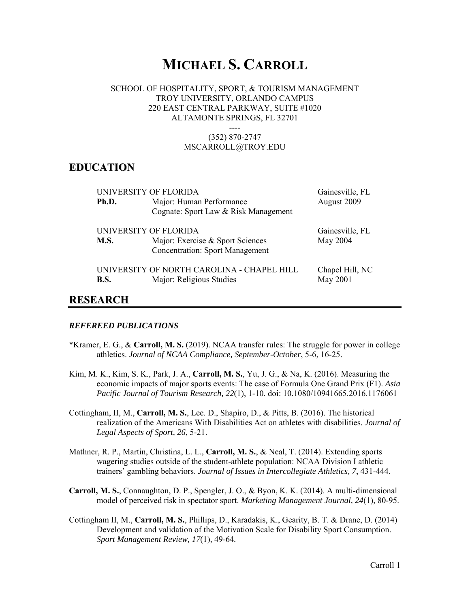# **MICHAEL S. CARROLL**

#### SCHOOL OF HOSPITALITY, SPORT, & TOURISM MANAGEMENT TROY UNIVERSITY, ORLANDO CAMPUS 220 EAST CENTRAL PARKWAY, SUITE #1020 ALTAMONTE SPRINGS, FL 32701

---- (352) 870-2747 MSCARROLL@TROY.EDU

#### **EDUCATION**

| UNIVERSITY OF FLORIDA |                                                                            | Gainesville, FL |
|-----------------------|----------------------------------------------------------------------------|-----------------|
| Ph.D.                 | Major: Human Performance<br>Cognate: Sport Law & Risk Management           | August 2009     |
|                       |                                                                            |                 |
| UNIVERSITY OF FLORIDA |                                                                            | Gainesville, FL |
| <b>M.S.</b>           | Major: Exercise & Sport Sciences<br><b>Concentration: Sport Management</b> | May 2004        |
|                       | UNIVERSITY OF NORTH CAROLINA - CHAPEL HILL                                 | Chapel Hill, NC |
| <b>B.S.</b>           | Major: Religious Studies                                                   | May 2001        |
|                       |                                                                            |                 |

# **RESEARCH**

#### *REFEREED PUBLICATIONS*

- \*Kramer, E. G., & **Carroll, M. S.** (2019). NCAA transfer rules: The struggle for power in college athletics. *Journal of NCAA Compliance, September-October*, 5-6, 16-25.
- Kim, M. K., Kim, S. K., Park, J. A., **Carroll, M. S.**, Yu, J. G., & Na, K. (2016). Measuring the economic impacts of major sports events: The case of Formula One Grand Prix (F1). *Asia Pacific Journal of Tourism Research, 22*(1), 1-10. doi: 10.1080/10941665.2016.1176061
- Cottingham, II, M., **Carroll, M. S.**, Lee. D., Shapiro, D., & Pitts, B. (2016). The historical realization of the Americans With Disabilities Act on athletes with disabilities. *Journal of Legal Aspects of Sport, 26*, 5-21.
- Mathner, R. P., Martin, Christina, L. L., **Carroll, M. S.**, & Neal, T. (2014). Extending sports wagering studies outside of the student-athlete population: NCAA Division I athletic trainers' gambling behaviors. *Journal of Issues in Intercollegiate Athletics, 7*, 431-444.
- **Carroll, M. S.**, Connaughton, D. P., Spengler, J. O., & Byon, K. K. (2014). A multi-dimensional model of perceived risk in spectator sport. *Marketing Management Journal, 24*(1), 80-95.
- Cottingham II, M., **Carroll, M. S.**, Phillips, D., Karadakis, K., Gearity, B. T. & Drane, D. (2014) Development and validation of the Motivation Scale for Disability Sport Consumption. *Sport Management Review, 17*(1), 49-64*.*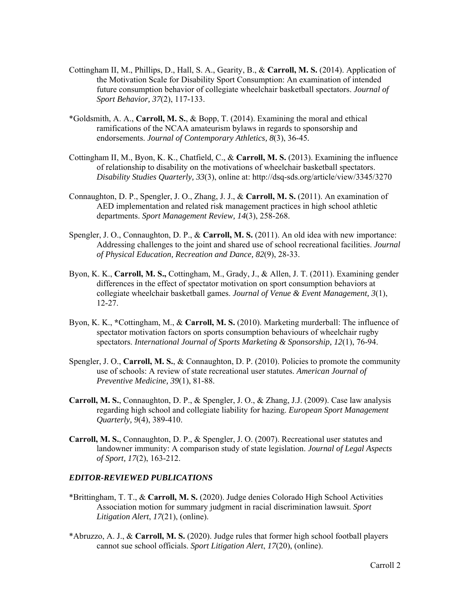- Cottingham II, M., Phillips, D., Hall, S. A., Gearity, B., & **Carroll, M. S.** (2014). Application of the Motivation Scale for Disability Sport Consumption: An examination of intended future consumption behavior of collegiate wheelchair basketball spectators. *Journal of Sport Behavior, 37*(2), 117-133.
- \*Goldsmith, A. A., **Carroll, M. S.**, & Bopp, T. (2014). Examining the moral and ethical ramifications of the NCAA amateurism bylaws in regards to sponsorship and endorsements. *Journal of Contemporary Athletics, 8*(3), 36-45*.*
- Cottingham II, M., Byon, K. K., Chatfield, C., & **Carroll, M. S.** (2013). Examining the influence of relationship to disability on the motivations of wheelchair basketball spectators. *Disability Studies Quarterly, 33*(3), online at: http://dsq-sds.org/article/view/3345/3270
- Connaughton, D. P., Spengler, J. O., Zhang, J. J., & **Carroll, M. S.** (2011). An examination of AED implementation and related risk management practices in high school athletic departments. *Sport Management Review, 14*(3), 258-268.
- Spengler, J. O., Connaughton, D. P., & **Carroll, M. S.** (2011). An old idea with new importance: Addressing challenges to the joint and shared use of school recreational facilities. *Journal of Physical Education, Recreation and Dance, 82*(9), 28-33.
- Byon, K. K., **Carroll, M. S.,** Cottingham, M., Grady, J., & Allen, J. T. (2011). Examining gender differences in the effect of spectator motivation on sport consumption behaviors at collegiate wheelchair basketball games. *Journal of Venue & Event Management, 3*(1), 12-27.
- Byon, K. K., **\***Cottingham, M., & **Carroll, M. S.** (2010). Marketing murderball: The influence of spectator motivation factors on sports consumption behaviours of wheelchair rugby spectators. *International Journal of Sports Marketing & Sponsorship, 12*(1), 76-94.
- Spengler, J. O., **Carroll, M. S.**, & Connaughton, D. P. (2010). Policies to promote the community use of schools: A review of state recreational user statutes. *American Journal of Preventive Medicine, 39*(1), 81-88.
- **Carroll, M. S.**, Connaughton, D. P., & Spengler, J. O., & Zhang, J.J. (2009). Case law analysis regarding high school and collegiate liability for hazing. *European Sport Management Quarterly, 9*(4), 389-410.
- **Carroll, M. S.**, Connaughton, D. P., & Spengler, J. O. (2007). Recreational user statutes and landowner immunity: A comparison study of state legislation. *Journal of Legal Aspects of Sport, 17*(2), 163-212.

#### *EDITOR-REVIEWED PUBLICATIONS*

- \*Brittingham, T. T., & **Carroll, M. S.** (2020). Judge denies Colorado High School Activities Association motion for summary judgment in racial discrimination lawsuit. *Sport Litigation Alert*, *17*(21), (online).
- \*Abruzzo, A. J., & **Carroll, M. S.** (2020). Judge rules that former high school football players cannot sue school officials. *Sport Litigation Alert*, *17*(20), (online).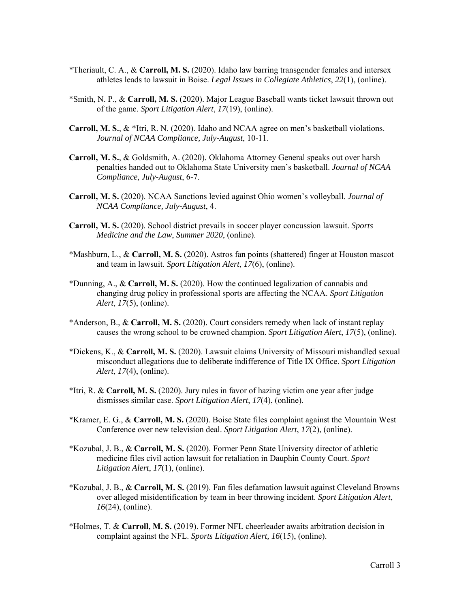- \*Theriault, C. A., & **Carroll, M. S.** (2020). Idaho law barring transgender females and intersex athletes leads to lawsuit in Boise. *Legal Issues in Collegiate Athletics*, *22*(1), (online).
- \*Smith, N. P., & **Carroll, M. S.** (2020). Major League Baseball wants ticket lawsuit thrown out of the game. *Sport Litigation Alert*, *17*(19), (online).
- **Carroll, M. S.**, & \*Itri, R. N. (2020). Idaho and NCAA agree on men's basketball violations. *Journal of NCAA Compliance, July-August*, 10-11.
- **Carroll, M. S.**, & Goldsmith, A. (2020). Oklahoma Attorney General speaks out over harsh penalties handed out to Oklahoma State University men's basketball. *Journal of NCAA Compliance, July-August*, 6-7.
- **Carroll, M. S.** (2020). NCAA Sanctions levied against Ohio women's volleyball. *Journal of NCAA Compliance, July-August*, 4.
- **Carroll, M. S.** (2020). School district prevails in soccer player concussion lawsuit. *Sports Medicine and the Law*, *Summer 2020*, (online).
- \*Mashburn, L., & **Carroll, M. S.** (2020). Astros fan points (shattered) finger at Houston mascot and team in lawsuit. *Sport Litigation Alert*, *17*(6), (online).
- \*Dunning, A., & **Carroll, M. S.** (2020). How the continued legalization of cannabis and changing drug policy in professional sports are affecting the NCAA. *Sport Litigation Alert*, *17*(5), (online).
- \*Anderson, B., & **Carroll, M. S.** (2020). Court considers remedy when lack of instant replay causes the wrong school to be crowned champion. *Sport Litigation Alert*, *17*(5), (online).
- \*Dickens, K., & **Carroll, M. S.** (2020). Lawsuit claims University of Missouri mishandled sexual misconduct allegations due to deliberate indifference of Title IX Office. *Sport Litigation Alert*, *17*(4), (online).
- \*Itri, R. & **Carroll, M. S.** (2020). Jury rules in favor of hazing victim one year after judge dismisses similar case. *Sport Litigation Alert*, *17*(4), (online).
- \*Kramer, E. G., & **Carroll, M. S.** (2020). Boise State files complaint against the Mountain West Conference over new television deal. *Sport Litigation Alert*, *17*(2), (online).
- \*Kozubal, J. B., & **Carroll, M. S.** (2020). Former Penn State University director of athletic medicine files civil action lawsuit for retaliation in Dauphin County Court. *Sport Litigation Alert*, *17*(1), (online).
- \*Kozubal, J. B., & **Carroll, M. S.** (2019). Fan files defamation lawsuit against Cleveland Browns over alleged misidentification by team in beer throwing incident. *Sport Litigation Alert*, *16*(24), (online).
- \*Holmes, T. & **Carroll, M. S.** (2019). Former NFL cheerleader awaits arbitration decision in complaint against the NFL. *Sports Litigation Alert, 16*(15), (online).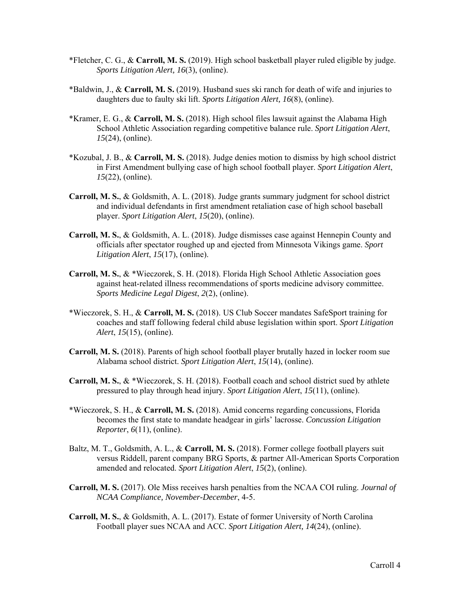- \*Fletcher, C. G., & **Carroll, M. S.** (2019). High school basketball player ruled eligible by judge. *Sports Litigation Alert, 16*(3), (online).
- \*Baldwin, J., & **Carroll, M. S.** (2019). Husband sues ski ranch for death of wife and injuries to daughters due to faulty ski lift. *Sports Litigation Alert, 16*(8), (online).
- \*Kramer, E. G., & **Carroll, M. S.** (2018). High school files lawsuit against the Alabama High School Athletic Association regarding competitive balance rule. *Sport Litigation Alert*, *15*(24), (online).
- \*Kozubal, J. B., & **Carroll, M. S.** (2018). Judge denies motion to dismiss by high school district in First Amendment bullying case of high school football player. *Sport Litigation Alert*, *15*(22), (online).
- **Carroll, M. S.**, & Goldsmith, A. L. (2018). Judge grants summary judgment for school district and individual defendants in first amendment retaliation case of high school baseball player. *Sport Litigation Alert*, *15*(20), (online).
- **Carroll, M. S.**, & Goldsmith, A. L. (2018). Judge dismisses case against Hennepin County and officials after spectator roughed up and ejected from Minnesota Vikings game. *Sport Litigation Alert*, *15*(17), (online).
- **Carroll, M. S.**, & \*Wieczorek, S. H. (2018). Florida High School Athletic Association goes against heat-related illness recommendations of sports medicine advisory committee. *Sports Medicine Legal Digest*, *2*(2), (online).
- \*Wieczorek, S. H., & **Carroll, M. S.** (2018). US Club Soccer mandates SafeSport training for coaches and staff following federal child abuse legislation within sport. *Sport Litigation Alert*, *15*(15), (online).
- **Carroll, M. S.** (2018). Parents of high school football player brutally hazed in locker room sue Alabama school district. *Sport Litigation Alert*, *15*(14), (online).
- **Carroll, M. S.**, & \*Wieczorek, S. H. (2018). Football coach and school district sued by athlete pressured to play through head injury. *Sport Litigation Alert*, *15*(11), (online).
- \*Wieczorek, S. H., & **Carroll, M. S.** (2018). Amid concerns regarding concussions, Florida becomes the first state to mandate headgear in girls' lacrosse. *Concussion Litigation Reporter*, *6*(11), (online).
- Baltz, M. T., Goldsmith, A. L., & **Carroll, M. S.** (2018). Former college football players suit versus Riddell, parent company BRG Sports, & partner All-American Sports Corporation amended and relocated. *Sport Litigation Alert*, *15*(2), (online).
- **Carroll, M. S.** (2017). Ole Miss receives harsh penalties from the NCAA COI ruling. *Journal of NCAA Compliance, November-December*, 4-5.
- **Carroll, M. S.**, & Goldsmith, A. L. (2017). Estate of former University of North Carolina Football player sues NCAA and ACC. *Sport Litigation Alert, 14*(24), (online).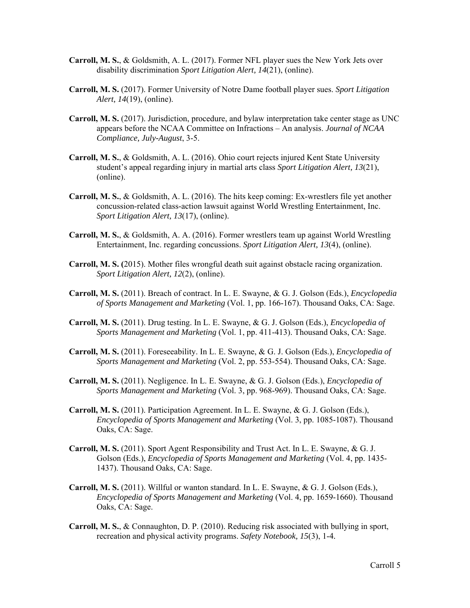- **Carroll, M. S.**, & Goldsmith, A. L. (2017). Former NFL player sues the New York Jets over disability discrimination *Sport Litigation Alert, 14*(21), (online).
- **Carroll, M. S.** (2017). Former University of Notre Dame football player sues. *Sport Litigation Alert, 14*(19), (online).
- **Carroll, M. S.** (2017). Jurisdiction, procedure, and bylaw interpretation take center stage as UNC appears before the NCAA Committee on Infractions – An analysis. *Journal of NCAA Compliance, July-August*, 3-5.
- **Carroll, M. S.**, & Goldsmith, A. L. (2016). Ohio court rejects injured Kent State University student's appeal regarding injury in martial arts class *Sport Litigation Alert, 13*(21), (online).
- **Carroll, M. S.**, & Goldsmith, A. L. (2016). The hits keep coming: Ex-wrestlers file yet another concussion-related class-action lawsuit against World Wrestling Entertainment, Inc. *Sport Litigation Alert, 13*(17), (online).
- **Carroll, M. S.**, & Goldsmith, A. A. (2016). Former wrestlers team up against World Wrestling Entertainment, Inc. regarding concussions. *Sport Litigation Alert, 13*(4), (online).
- **Carroll, M. S. (**2015). Mother files wrongful death suit against obstacle racing organization. *Sport Litigation Alert, 12*(2), (online).
- **Carroll, M. S.** (2011). Breach of contract. In L. E. Swayne, & G. J. Golson (Eds.), *Encyclopedia of Sports Management and Marketing* (Vol. 1, pp. 166-167). Thousand Oaks, CA: Sage.
- **Carroll, M. S.** (2011). Drug testing. In L. E. Swayne, & G. J. Golson (Eds.), *Encyclopedia of Sports Management and Marketing* (Vol. 1, pp. 411-413). Thousand Oaks, CA: Sage.
- **Carroll, M. S.** (2011). Foreseeability. In L. E. Swayne, & G. J. Golson (Eds.), *Encyclopedia of Sports Management and Marketing* (Vol. 2, pp. 553-554). Thousand Oaks, CA: Sage.
- **Carroll, M. S.** (2011). Negligence. In L. E. Swayne, & G. J. Golson (Eds.), *Encyclopedia of Sports Management and Marketing* (Vol. 3, pp. 968-969). Thousand Oaks, CA: Sage.
- **Carroll, M. S.** (2011). Participation Agreement. In L. E. Swayne, & G. J. Golson (Eds.), *Encyclopedia of Sports Management and Marketing* (Vol. 3, pp. 1085-1087). Thousand Oaks, CA: Sage.
- **Carroll, M. S.** (2011). Sport Agent Responsibility and Trust Act. In L. E. Swayne, & G. J. Golson (Eds.), *Encyclopedia of Sports Management and Marketing* (Vol. 4, pp. 1435- 1437). Thousand Oaks, CA: Sage.
- **Carroll, M. S.** (2011). Willful or wanton standard. In L. E. Swayne, & G. J. Golson (Eds.), *Encyclopedia of Sports Management and Marketing* (Vol. 4, pp. 1659-1660). Thousand Oaks, CA: Sage.
- **Carroll, M. S.**, & Connaughton, D. P. (2010). Reducing risk associated with bullying in sport, recreation and physical activity programs. *Safety Notebook, 15*(3), 1-4*.*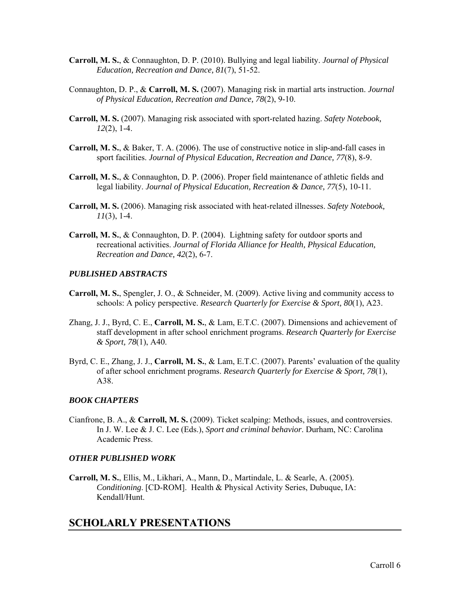- **Carroll, M. S.**, & Connaughton, D. P. (2010). Bullying and legal liability. *Journal of Physical Education, Recreation and Dance, 81*(7), 51-52.
- Connaughton, D. P., & **Carroll, M. S.** (2007). Managing risk in martial arts instruction. *Journal of Physical Education, Recreation and Dance, 78*(2), 9-10.
- **Carroll, M. S.** (2007). Managing risk associated with sport-related hazing. *Safety Notebook, 12*(2), 1-4.
- **Carroll, M. S.**, & Baker, T. A. (2006). The use of constructive notice in slip-and-fall cases in sport facilities. *Journal of Physical Education, Recreation and Dance, 77*(8), 8-9.
- **Carroll, M. S.**, & Connaughton, D. P. (2006). Proper field maintenance of athletic fields and legal liability. *Journal of Physical Education, Recreation & Dance, 77*(5), 10-11.
- **Carroll, M. S.** (2006). Managing risk associated with heat-related illnesses. *Safety Notebook, 11*(3), 1-4.
- **Carroll, M. S.**, & Connaughton, D. P. (2004). Lightning safety for outdoor sports and recreational activities. *Journal of Florida Alliance for Health, Physical Education, Recreation and Dance, 42*(2), 6-7.

#### *PUBLISHED ABSTRACTS*

- **Carroll, M. S.**, Spengler, J. O., & Schneider, M. (2009). Active living and community access to schools: A policy perspective. *Research Quarterly for Exercise & Sport, 80*(1), A23.
- Zhang, J. J., Byrd, C. E., **Carroll, M. S.**, & Lam, E.T.C. (2007). Dimensions and achievement of staff development in after school enrichment programs. *Research Quarterly for Exercise & Sport, 78*(1), A40.
- Byrd, C. E., Zhang, J. J., **Carroll, M. S.**, & Lam, E.T.C. (2007). Parents' evaluation of the quality of after school enrichment programs. *Research Quarterly for Exercise & Sport, 78*(1), A38.

#### *BOOK CHAPTERS*

Cianfrone, B. A., & **Carroll, M. S.** (2009). Ticket scalping: Methods, issues, and controversies. In J. W. Lee & J. C. Lee (Eds.), *Sport and criminal behavior*. Durham, NC: Carolina Academic Press.

#### *OTHER PUBLISHED WORK*

**Carroll, M. S.**, Ellis, M., Likhari, A., Mann, D., Martindale, L. & Searle, A. (2005). *Conditioning*. [CD-ROM]. Health & Physical Activity Series, Dubuque, IA: Kendall/Hunt.

### **SCHOLARLY PRESENTATIONS**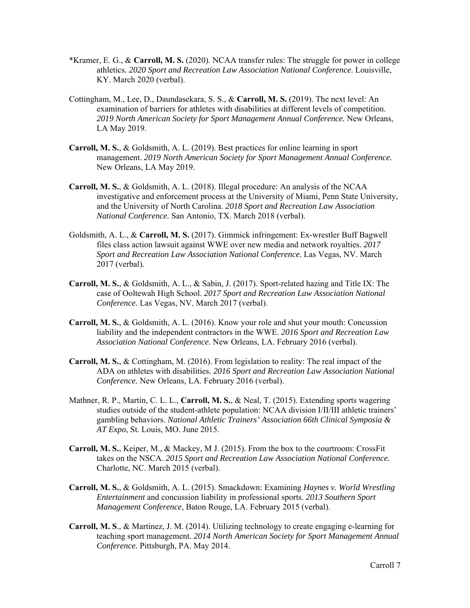- \*Kramer, E. G., & **Carroll, M. S.** (2020). NCAA transfer rules: The struggle for power in college athletics. *2020 Sport and Recreation Law Association National Conference*. Louisville, KY. March 2020 (verbal).
- Cottingham, M., Lee, D., Daundasekara, S. S., & **Carroll, M. S.** (2019). The next level: An examination of barriers for athletes with disabilities at different levels of competition. *2019 North American Society for Sport Management Annual Conference.* New Orleans, LA May 2019.
- **Carroll, M. S.**, & Goldsmith, A. L. (2019). Best practices for online learning in sport management. *2019 North American Society for Sport Management Annual Conference.* New Orleans, LA May 2019.
- **Carroll, M. S.**, & Goldsmith, A. L. (2018). Illegal procedure: An analysis of the NCAA investigative and enforcement process at the University of Miami, Penn State University, and the University of North Carolina. *2018 Sport and Recreation Law Association National Conference.* San Antonio, TX. March 2018 (verbal).
- Goldsmith, A. L., & **Carroll, M. S.** (2017). Gimmick infringement: Ex-wrestler Buff Bagwell files class action lawsuit against WWE over new media and network royalties. *2017 Sport and Recreation Law Association National Conference.* Las Vegas, NV. March 2017 (verbal).
- **Carroll, M. S.**, & Goldsmith, A. L., & Sabin, J. (2017). Sport-related hazing and Title IX: The case of Ooltewah High School. *2017 Sport and Recreation Law Association National Conference.* Las Vegas, NV. March 2017 (verbal).
- **Carroll, M. S.**, & Goldsmith, A. L. (2016). Know your role and shut your mouth: Concussion liability and the independent contractors in the WWE. *2016 Sport and Recreation Law Association National Conference.* New Orleans, LA. February 2016 (verbal).
- **Carroll, M. S.**, & Cottingham, M. (2016). From legislation to reality: The real impact of the ADA on athletes with disabilities. *2016 Sport and Recreation Law Association National Conference.* New Orleans, LA. February 2016 (verbal).
- Mathner, R. P., Martin, C. L. L., **Carroll, M. S.**, & Neal, T. (2015). Extending sports wagering studies outside of the student-athlete population: NCAA division I/II/III athletic trainers' gambling behaviors. *National Athletic Trainers' Association 66th Clinical Symposia & AT Expo*, St. Louis, MO. June 2015.
- **Carroll, M. S.**, Keiper, M., & Mackey, M J. (2015). From the box to the courtroom: CrossFit takes on the NSCA. *2015 Sport and Recreation Law Association National Conference.*  Charlotte, NC. March 2015 (verbal).
- **Carroll, M. S.**, & Goldsmith, A. L. (2015). Smackdown: Examining *Haynes v. World Wrestling Entertainment* and concussion liability in professional sports. *2013 Southern Sport Management Conference*, Baton Rouge, LA. February 2015 (verbal).
- **Carroll, M. S**., & Martinez, J. M. (2014). Utilizing technology to create engaging e-learning for teaching sport management. *2014 North American Society for Sport Management Annual Conference.* Pittsburgh, PA. May 2014.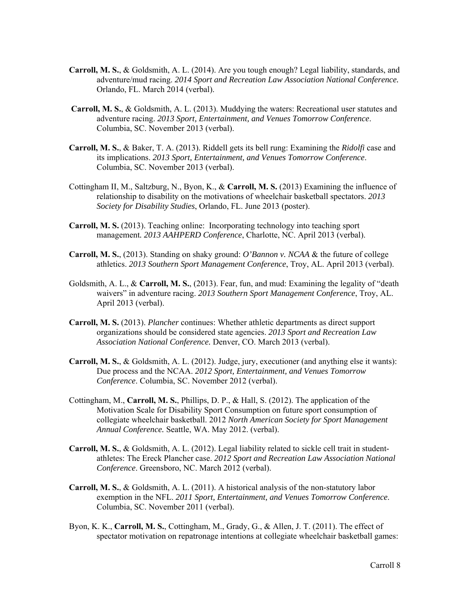- **Carroll, M. S.**, & Goldsmith, A. L. (2014). Are you tough enough? Legal liability, standards, and adventure/mud racing. *2014 Sport and Recreation Law Association National Conference.*  Orlando, FL. March 2014 (verbal).
- **Carroll, M. S.**, & Goldsmith, A. L. (2013). Muddying the waters: Recreational user statutes and adventure racing. *2013 Sport, Entertainment, and Venues Tomorrow Conference*. Columbia, SC. November 2013 (verbal).
- **Carroll, M. S.**, & Baker, T. A. (2013). Riddell gets its bell rung: Examining the *Ridolfi* case and its implications. *2013 Sport, Entertainment, and Venues Tomorrow Conference*. Columbia, SC. November 2013 (verbal).
- Cottingham II, M., Saltzburg, N., Byon, K., & **Carroll, M. S.** (2013) Examining the influence of relationship to disability on the motivations of wheelchair basketball spectators. *2013 Society for Disability Studies*, Orlando, FL. June 2013 (poster).
- **Carroll, M. S.** (2013). Teaching online: Incorporating technology into teaching sport management*. 2013 AAHPERD Conference*, Charlotte, NC. April 2013 (verbal).
- **Carroll, M. S.**, (2013). Standing on shaky ground: *O'Bannon v. NCAA* & the future of college athletics. *2013 Southern Sport Management Conference*, Troy, AL. April 2013 (verbal).
- Goldsmith, A. L., & **Carroll, M. S.**, (2013). Fear, fun, and mud: Examining the legality of "death waivers" in adventure racing. *2013 Southern Sport Management Conference*, Troy, AL. April 2013 (verbal).
- **Carroll, M. S.** (2013). *Plancher* continues: Whether athletic departments as direct support organizations should be considered state agencies. *2013 Sport and Recreation Law Association National Conference.* Denver, CO. March 2013 (verbal).
- **Carroll, M. S.**, & Goldsmith, A. L. (2012). Judge, jury, executioner (and anything else it wants): Due process and the NCAA. *2012 Sport, Entertainment, and Venues Tomorrow Conference*. Columbia, SC. November 2012 (verbal).
- Cottingham, M., **Carroll, M. S.**, Phillips, D. P., & Hall, S. (2012). The application of the Motivation Scale for Disability Sport Consumption on future sport consumption of collegiate wheelchair basketball. 2012 *North American Society for Sport Management Annual Conference.* Seattle, WA. May 2012. (verbal).
- **Carroll, M. S.**, & Goldsmith, A. L. (2012). Legal liability related to sickle cell trait in studentathletes: The Ereck Plancher case. *2012 Sport and Recreation Law Association National Conference*. Greensboro, NC. March 2012 (verbal).
- **Carroll, M. S.**, & Goldsmith, A. L. (2011). A historical analysis of the non-statutory labor exemption in the NFL. *2011 Sport, Entertainment, and Venues Tomorrow Conference*. Columbia, SC. November 2011 (verbal).
- Byon, K. K., **Carroll, M. S.**, Cottingham, M., Grady, G., & Allen, J. T. (2011). The effect of spectator motivation on repatronage intentions at collegiate wheelchair basketball games: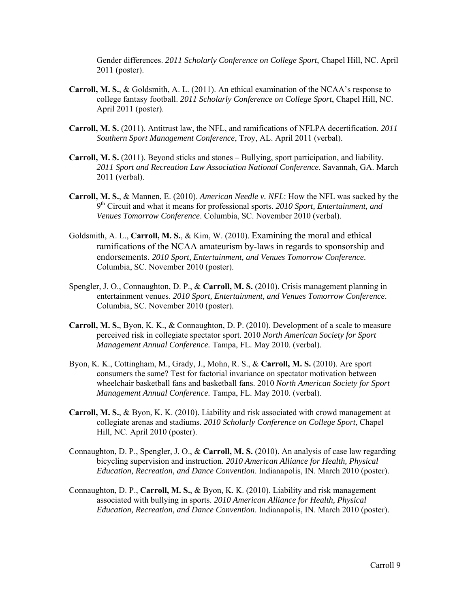Gender differences. *2011 Scholarly Conference on College Sport*, Chapel Hill, NC. April 2011 (poster).

- **Carroll, M. S.**, & Goldsmith, A. L. (2011). An ethical examination of the NCAA's response to college fantasy football. *2011 Scholarly Conference on College Sport*, Chapel Hill, NC. April 2011 (poster).
- **Carroll, M. S.** (2011). Antitrust law, the NFL, and ramifications of NFLPA decertification. *2011 Southern Sport Management Conference*, Troy, AL. April 2011 (verbal).
- **Carroll, M. S.** (2011). Beyond sticks and stones Bullying, sport participation, and liability. *2011 Sport and Recreation Law Association National Conference*. Savannah, GA. March 2011 (verbal).
- **Carroll, M. S.**, & Mannen, E. (2010). *American Needle v. NFL*: How the NFL was sacked by the 9th Circuit and what it means for professional sports. *2010 Sport, Entertainment, and Venues Tomorrow Conference*. Columbia, SC. November 2010 (verbal).
- Goldsmith, A. L., **Carroll, M. S.**, & Kim, W. (2010). Examining the moral and ethical ramifications of the NCAA amateurism by-laws in regards to sponsorship and endorsements. *2010 Sport, Entertainment, and Venues Tomorrow Conference*. Columbia, SC. November 2010 (poster).
- Spengler, J. O., Connaughton, D. P., & **Carroll, M. S.** (2010). Crisis management planning in entertainment venues. *2010 Sport, Entertainment, and Venues Tomorrow Conference*. Columbia, SC. November 2010 (poster).
- **Carroll, M. S.**, Byon, K. K., & Connaughton, D. P. (2010). Development of a scale to measure perceived risk in collegiate spectator sport. 2010 *North American Society for Sport Management Annual Conference.* Tampa, FL. May 2010. (verbal).
- Byon, K. K., Cottingham, M., Grady, J., Mohn, R. S., & **Carroll, M. S.** (2010). Are sport consumers the same? Test for factorial invariance on spectator motivation between wheelchair basketball fans and basketball fans. 2010 *North American Society for Sport Management Annual Conference.* Tampa, FL. May 2010. (verbal).
- **Carroll, M. S.**, & Byon, K. K. (2010). Liability and risk associated with crowd management at collegiate arenas and stadiums. *2010 Scholarly Conference on College Sport*, Chapel Hill, NC. April 2010 (poster).
- Connaughton, D. P., Spengler, J. O., & **Carroll, M. S.** (2010). An analysis of case law regarding bicycling supervision and instruction. *2010 American Alliance for Health, Physical Education, Recreation, and Dance Convention*. Indianapolis, IN. March 2010 (poster).
- Connaughton, D. P., **Carroll, M. S.**, & Byon, K. K. (2010). Liability and risk management associated with bullying in sports. *2010 American Alliance for Health, Physical Education, Recreation, and Dance Convention*. Indianapolis, IN. March 2010 (poster).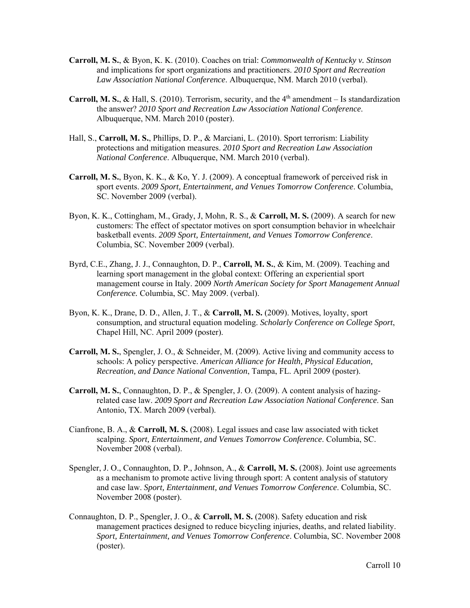- **Carroll, M. S.**, & Byon, K. K. (2010). Coaches on trial: *Commonwealth of Kentucky v. Stinson*  and implications for sport organizations and practitioners. *2010 Sport and Recreation Law Association National Conference*. Albuquerque, NM. March 2010 (verbal).
- **Carroll, M. S., & Hall, S.** (2010). Terrorism, security, and the  $4<sup>th</sup>$  amendment Is standardization the answer? *2010 Sport and Recreation Law Association National Conference*. Albuquerque, NM. March 2010 (poster).
- Hall, S., **Carroll, M. S.**, Phillips, D. P., & Marciani, L. (2010). Sport terrorism: Liability protections and mitigation measures. *2010 Sport and Recreation Law Association National Conference*. Albuquerque, NM. March 2010 (verbal).
- **Carroll, M. S.**, Byon, K. K., & Ko, Y. J. (2009). A conceptual framework of perceived risk in sport events. *2009 Sport, Entertainment, and Venues Tomorrow Conference*. Columbia, SC. November 2009 (verbal).
- Byon, K. K., Cottingham, M., Grady, J, Mohn, R. S., & **Carroll, M. S.** (2009). A search for new customers: The effect of spectator motives on sport consumption behavior in wheelchair basketball events. *2009 Sport, Entertainment, and Venues Tomorrow Conference*. Columbia, SC. November 2009 (verbal).
- Byrd, C.E., Zhang, J. J., Connaughton, D. P., **Carroll, M. S.**, & Kim, M. (2009). Teaching and learning sport management in the global context: Offering an experiential sport management course in Italy. 2009 *North American Society for Sport Management Annual Conference.* Columbia, SC. May 2009. (verbal).
- Byon, K. K., Drane, D. D., Allen, J. T., & **Carroll, M. S.** (2009). Motives, loyalty, sport consumption, and structural equation modeling. *Scholarly Conference on College Sport*, Chapel Hill, NC. April 2009 (poster).
- **Carroll, M. S.**, Spengler, J. O., & Schneider, M. (2009). Active living and community access to schools: A policy perspective. *American Alliance for Health, Physical Education, Recreation, and Dance National Convention*, Tampa, FL. April 2009 (poster).
- **Carroll, M. S.**, Connaughton, D. P., & Spengler, J. O. (2009). A content analysis of hazingrelated case law. *2009 Sport and Recreation Law Association National Conference*. San Antonio, TX. March 2009 (verbal).
- Cianfrone, B. A., & **Carroll, M. S.** (2008). Legal issues and case law associated with ticket scalping. *Sport, Entertainment, and Venues Tomorrow Conference*. Columbia, SC. November 2008 (verbal).
- Spengler, J. O., Connaughton, D. P., Johnson, A., & **Carroll, M. S.** (2008). Joint use agreements as a mechanism to promote active living through sport: A content analysis of statutory and case law. *Sport, Entertainment, and Venues Tomorrow Conference*. Columbia, SC. November 2008 (poster).
- Connaughton, D. P., Spengler, J. O., & **Carroll, M. S.** (2008). Safety education and risk management practices designed to reduce bicycling injuries, deaths, and related liability. *Sport, Entertainment, and Venues Tomorrow Conference*. Columbia, SC. November 2008 (poster).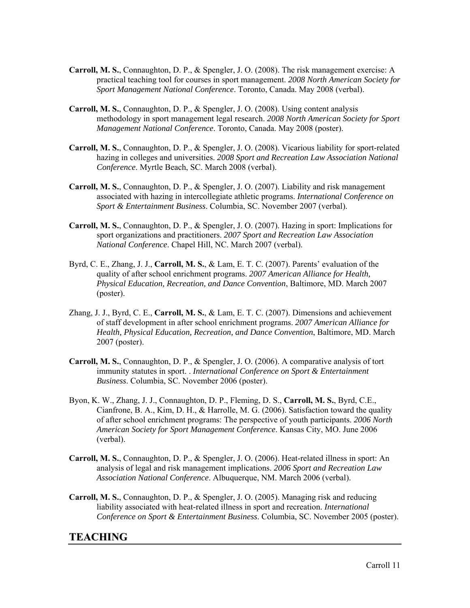- **Carroll, M. S.**, Connaughton, D. P., & Spengler, J. O. (2008). The risk management exercise: A practical teaching tool for courses in sport management. *2008 North American Society for Sport Management National Conference*. Toronto, Canada. May 2008 (verbal).
- **Carroll, M. S.**, Connaughton, D. P., & Spengler, J. O. (2008). Using content analysis methodology in sport management legal research. *2008 North American Society for Sport Management National Conference*. Toronto, Canada. May 2008 (poster).
- **Carroll, M. S.**, Connaughton, D. P., & Spengler, J. O. (2008). Vicarious liability for sport-related hazing in colleges and universities. *2008 Sport and Recreation Law Association National Conference*. Myrtle Beach, SC. March 2008 (verbal).
- **Carroll, M. S.**, Connaughton, D. P., & Spengler, J. O. (2007). Liability and risk management associated with hazing in intercollegiate athletic programs. *International Conference on Sport & Entertainment Business*. Columbia, SC. November 2007 (verbal).
- **Carroll, M. S.**, Connaughton, D. P., & Spengler, J. O. (2007). Hazing in sport: Implications for sport organizations and practitioners. *2007 Sport and Recreation Law Association National Conference*. Chapel Hill, NC. March 2007 (verbal).
- Byrd, C. E., Zhang, J. J., **Carroll, M. S.**, & Lam, E. T. C. (2007). Parents' evaluation of the quality of after school enrichment programs. *2007 American Alliance for Health, Physical Education, Recreation, and Dance Convention*, Baltimore, MD. March 2007 (poster).
- Zhang, J. J., Byrd, C. E., **Carroll, M. S.**, & Lam, E. T. C. (2007). Dimensions and achievement of staff development in after school enrichment programs. *2007 American Alliance for Health, Physical Education, Recreation, and Dance Convention*, Baltimore, MD. March 2007 (poster).
- **Carroll, M. S.**, Connaughton, D. P., & Spengler, J. O. (2006). A comparative analysis of tort immunity statutes in sport. . *International Conference on Sport & Entertainment Business*. Columbia, SC. November 2006 (poster).
- Byon, K. W., Zhang, J. J., Connaughton, D. P., Fleming, D. S., **Carroll, M. S.**, Byrd, C.E., Cianfrone, B. A., Kim, D. H., & Harrolle, M. G. (2006). Satisfaction toward the quality of after school enrichment programs: The perspective of youth participants. *2006 North American Society for Sport Management Conference*. Kansas City, MO. June 2006 (verbal).
- **Carroll, M. S.**, Connaughton, D. P., & Spengler, J. O. (2006). Heat-related illness in sport: An analysis of legal and risk management implications. *2006 Sport and Recreation Law Association National Conference*. Albuquerque, NM. March 2006 (verbal).
- **Carroll, M. S.**, Connaughton, D. P., & Spengler, J. O. (2005). Managing risk and reducing liability associated with heat-related illness in sport and recreation. *International Conference on Sport & Entertainment Business*. Columbia, SC. November 2005 (poster).

# **TEACHING**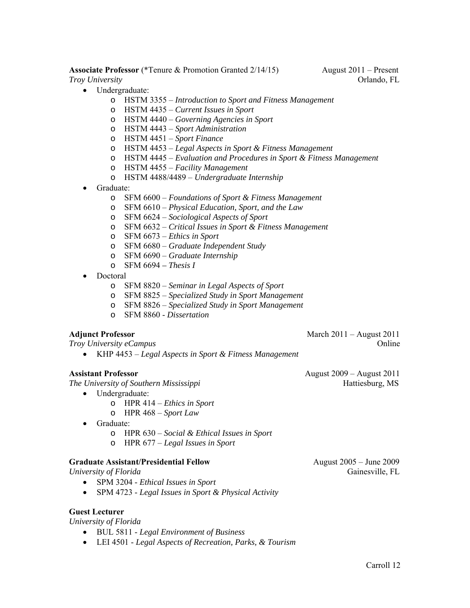**Associate Professor** (\*Tenure & Promotion Granted 2/14/15)August 2011 – Present *Troy University* Orlando, FL

- Undergraduate:
	- o HSTM 3355 *Introduction to Sport and Fitness Management*
	- o HSTM 4435 *Current Issues in Sport*
	- o HSTM 4440 *Governing Agencies in Sport*
	- o HSTM 4443 *Sport Administration*
	- o HSTM 4451 *Sport Finance*
	- o HSTM 4453 *Legal Aspects in Sport & Fitness Management*
	- o HSTM 4445 *Evaluation and Procedures in Sport & Fitness Management*
	- o HSTM 4455 *Facility Management*
	- o HSTM 4488/4489 *Undergraduate Internship*
- Graduate:
	- o SFM 6600 *Foundations of Sport & Fitness Management*
	- o SFM 6610 *Physical Education, Sport, and the Law*
	- o SFM 6624 *Sociological Aspects of Sport*
	- o SFM 6632 *Critical Issues in Sport & Fitness Management*
	- o SFM 6673 *Ethics in Sport*
	- o SFM 6680 *Graduate Independent Study*
	- o SFM 6690 *Graduate Internship*
	- o SFM 6694 *Thesis I*
- Doctoral
	- o SFM 8820 *Seminar in Legal Aspects of Sport*
	- o SFM 8825 *Specialized Study in Sport Management*
	- o SFM 8826 *Specialized Study in Sport Management*
	- o SFM 8860 *Dissertation*

#### **Adjunct Professor March 2011** – August 2011

*Troy University eCampus*  $\blacksquare$ 

KHP 4453 – *Legal Aspects in Sport & Fitness Management*

*The University of Southern Mississippi* **Hattiesburg, MS** 

- Undergraduate:
	- o HPR 414 *Ethics in Sport*
	- o HPR 468 *Sport Law*
- Graduate:
	- o HPR 630 *Social & Ethical Issues in Sport*
	- o HPR 677 *Legal Issues in Sport*

#### **Graduate Assistant/Presidential Fellow** August 2005 – June 2009

- SPM 3204 *Ethical Issues in Sport*
- SPM 4723 *Legal Issues in Sport & Physical Activity*

#### **Guest Lecturer**

*University of Florida* 

- BUL 5811 *Legal Environment of Business*
- LEI 4501 *Legal Aspects of Recreation, Parks, & Tourism*

**Assistant Professor** August 2009 – August 2011

*University of Florida* Gainesville, FL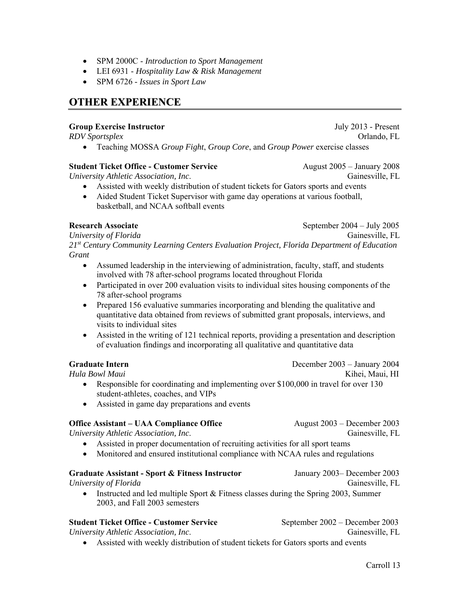- SPM 2000C *Introduction to Sport Management*
- LEI 6931 *Hospitality Law & Risk Management*
- SPM 6726 *Issues in Sport Law*

# **OTHER EXPERIENCE**

#### **Group Exercise Instructor** July 2013 - Present

*RDV Sportsplex* **Orlando, FL** 

Teaching MOSSA *Group Fight*, *Group Core*, and *Group Power* exercise classes

#### **Student Ticket Office - Customer Service** August 2005 – January 2008

*University Athletic Association, Inc*. Gainesville, FL

 Assisted with weekly distribution of student tickets for Gators sports and events Aided Student Ticket Supervisor with game day operations at various football, basketball, and NCAA softball events

**Research Associate September 2004** – July 2005

*University of Florida* Gainesville, FL

*21st Century Community Learning Centers Evaluation Project, Florida Department of Education Grant* 

- Assumed leadership in the interviewing of administration, faculty, staff, and students involved with 78 after-school programs located throughout Florida
- Participated in over 200 evaluation visits to individual sites housing components of the 78 after-school programs
- Prepared 156 evaluative summaries incorporating and blending the qualitative and quantitative data obtained from reviews of submitted grant proposals, interviews, and visits to individual sites
- Assisted in the writing of 121 technical reports, providing a presentation and description of evaluation findings and incorporating all qualitative and quantitative data

#### **Graduate Intern** December 2003 – January 2004

*Hula Bowl Maui* Kihei, Maui, HI

- Responsible for coordinating and implementing over \$100,000 in travel for over 130 student-athletes, coaches, and VIPs
- Assisted in game day preparations and events

### **Office Assistant – UAA Compliance Office August 2003 – December 2003**

*University Athletic Association, Inc*. Gainesville, FL

- Assisted in proper documentation of recruiting activities for all sport teams
- Monitored and ensured institutional compliance with NCAA rules and regulations

#### **Graduate Assistant - Sport & Fitness Instructor** January 2003– December 2003

*University of Florida* Gainesville, FL

• Instructed and led multiple Sport & Fitness classes during the Spring 2003, Summer 2003, and Fall 2003 semesters

#### **Student Ticket Office - Customer Service** September 2002 – December 2003

*University Athletic Association, Inc*. Gainesville, FL

- 
- Assisted with weekly distribution of student tickets for Gators sports and events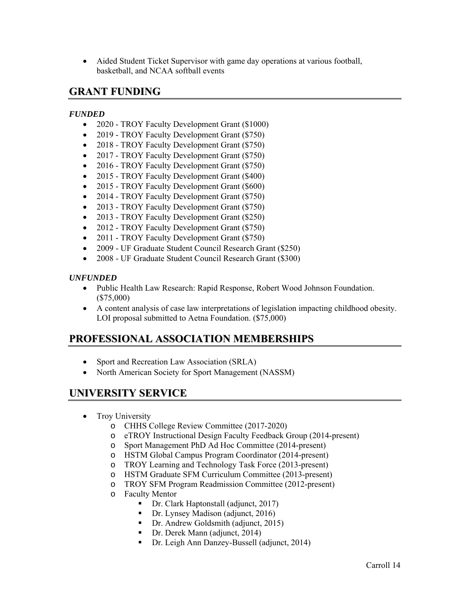Aided Student Ticket Supervisor with game day operations at various football, basketball, and NCAA softball events

# **GRANT FUNDING**

#### *FUNDED*

- 2020 TROY Faculty Development Grant (\$1000)
- 2019 TROY Faculty Development Grant (\$750)
- 2018 TROY Faculty Development Grant (\$750)
- 2017 TROY Faculty Development Grant (\$750)
- 2016 TROY Faculty Development Grant (\$750)
- 2015 TROY Faculty Development Grant (\$400)
- 2015 TROY Faculty Development Grant (\$600)
- 2014 TROY Faculty Development Grant (\$750)
- 2013 TROY Faculty Development Grant (\$750)
- 2013 TROY Faculty Development Grant (\$250)
- 2012 TROY Faculty Development Grant (\$750)
- 2011 TROY Faculty Development Grant (\$750)
- 2009 UF Graduate Student Council Research Grant (\$250)
- 2008 UF Graduate Student Council Research Grant (\$300)

#### *UNFUNDED*

- Public Health Law Research: Rapid Response, Robert Wood Johnson Foundation. (\$75,000)
- A content analysis of case law interpretations of legislation impacting childhood obesity. LOI proposal submitted to Aetna Foundation. (\$75,000)

# **PROFESSIONAL ASSOCIATION MEMBERSHIPS**

- Sport and Recreation Law Association (SRLA)
- North American Society for Sport Management (NASSM)

# **UNIVERSITY SERVICE**

- Troy University
	- o CHHS College Review Committee (2017-2020)
	- o eTROY Instructional Design Faculty Feedback Group (2014-present)
	- o Sport Management PhD Ad Hoc Committee (2014-present)
	- o HSTM Global Campus Program Coordinator (2014-present)
	- o TROY Learning and Technology Task Force (2013-present)
	- o HSTM Graduate SFM Curriculum Committee (2013-present)
	- o TROY SFM Program Readmission Committee (2012-present)
	- o Faculty Mentor
		- Dr. Clark Haptonstall (adjunct, 2017)
		- Dr. Lynsey Madison (adjunct, 2016)
		- Dr. Andrew Goldsmith (adjunct, 2015)
		- Dr. Derek Mann (adjunct, 2014)
		- Dr. Leigh Ann Danzey-Bussell (adjunct, 2014)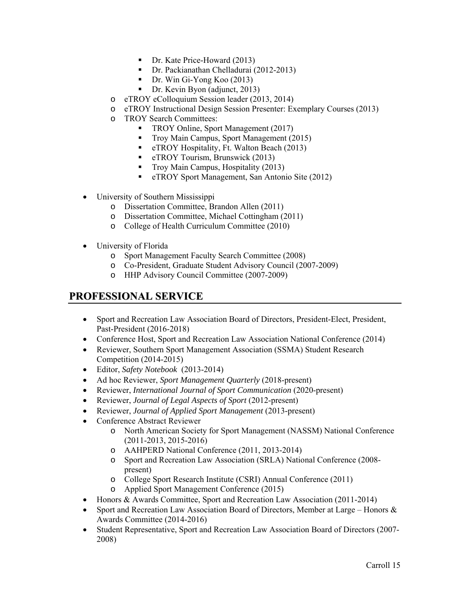- Dr. Kate Price-Howard (2013)
- Dr. Packianathan Chelladurai (2012-2013)
- Dr. Win Gi-Yong Koo (2013)
- Dr. Kevin Byon (adjunct, 2013)
- o eTROY eColloquium Session leader (2013, 2014)
- o eTROY Instructional Design Session Presenter: Exemplary Courses (2013)
- o TROY Search Committees:
	- **TROY Online, Sport Management (2017)**
	- Troy Main Campus, Sport Management (2015)
	- **EXECUTE:** eTROY Hospitality, Ft. Walton Beach (2013)
	- **EXECUTE:** eTROY Tourism, Brunswick (2013)
	- **Troy Main Campus, Hospitality (2013)**
	- **EXECUTE:** eTROY Sport Management, San Antonio Site (2012)
- University of Southern Mississippi
	- o Dissertation Committee, Brandon Allen (2011)
	- o Dissertation Committee, Michael Cottingham (2011)
	- o College of Health Curriculum Committee (2010)
- University of Florida
	- o Sport Management Faculty Search Committee (2008)
	- o Co-President, Graduate Student Advisory Council (2007-2009)
	- o HHP Advisory Council Committee (2007-2009)

# **PROFESSIONAL SERVICE**

- Sport and Recreation Law Association Board of Directors, President-Elect, President, Past-President (2016-2018)
- Conference Host, Sport and Recreation Law Association National Conference (2014)
- Reviewer, Southern Sport Management Association (SSMA) Student Research Competition (2014-2015)
- Editor, *Safety Notebook* (2013-2014)
- Ad hoc Reviewer, *Sport Management Quarterly* (2018-present)
- Reviewer, *International Journal of Sport Communication* (2020-present)
- Reviewer, *Journal of Legal Aspects of Sport* (2012-present)
- Reviewer, *Journal of Applied Sport Management* (2013-present)
- Conference Abstract Reviewer
	- o North American Society for Sport Management (NASSM) National Conference (2011-2013, 2015-2016)
	- o AAHPERD National Conference (2011, 2013-2014)
	- o Sport and Recreation Law Association (SRLA) National Conference (2008 present)
	- o College Sport Research Institute (CSRI) Annual Conference (2011)
	- o Applied Sport Management Conference (2015)
- Honors & Awards Committee, Sport and Recreation Law Association (2011-2014)
- Sport and Recreation Law Association Board of Directors, Member at Large Honors & Awards Committee (2014-2016)
- Student Representative, Sport and Recreation Law Association Board of Directors (2007- 2008)